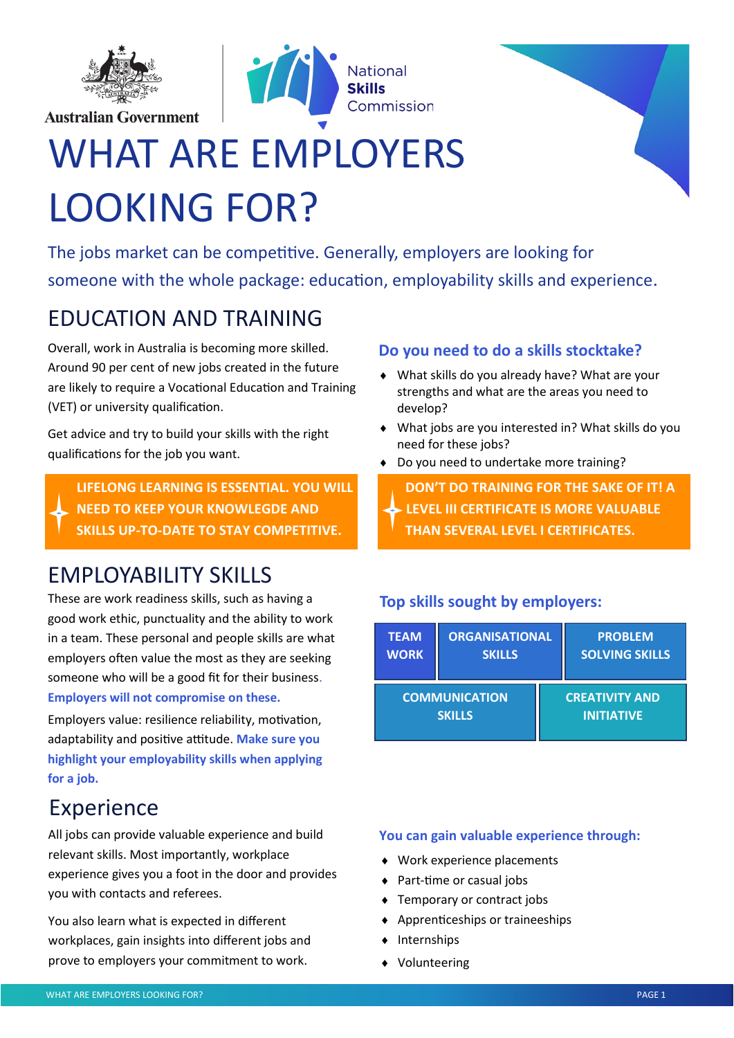

**Australian Government** 





# WHAT ARE EMPLOYERS LOOKING FOR?

The jobs market can be competitive. Generally, employers are looking for someone with the whole package: education, employability skills and experience.

# EDUCATION AND TRAINING

Overall, work in Australia is becoming more skilled. Around 90 per cent of new jobs created in the future are likely to require a Vocational Education and Training (VET) or university qualification.

Get advice and try to build your skills with the right qualifications for the job you want.

**LIFELONG LEARNING IS ESSENTIAL. YOU WILL NEED TO KEEP YOUR KNOWLEGDE AND SKILLS UP-TO-DATE TO STAY COMPETITIVE.**

# EMPLOYABILITY SKILLS

These are work readiness skills, such as having a good work ethic, punctuality and the ability to work in a team. These personal and people skills are what employers often value the most as they are seeking someone who will be a good fit for their business. **Employers will not compromise on these.**

Employers value: resilience reliability, motivation, adaptability and positive attitude. **Make sure you highlight your employability skills when applying for a job.**

## Experience

All jobs can provide valuable experience and build relevant skills. Most importantly, workplace experience gives you a foot in the door and provides you with contacts and referees.

You also learn what is expected in different workplaces, gain insights into different jobs and prove to employers your commitment to work.

#### **Do you need to do a skills stocktake?**

- What skills do you already have? What are your strengths and what are the areas you need to develop?
- What jobs are you interested in? What skills do you need for these jobs?
- ◆ Do you need to undertake more training?

**DON'T DO TRAINING FOR THE SAKE OF IT! A LEVEL III CERTIFICATE IS MORE VALUABLE THAN SEVERAL LEVEL I CERTIFICATES.**

#### **Top skills sought by employers:**

| <b>TEAM</b>          | ORGANISATIONAL |                       | <b>PROBLEM</b>        |
|----------------------|----------------|-----------------------|-----------------------|
| <b>WORK</b>          | <b>SKILLS</b>  |                       | <b>SOLVING SKILLS</b> |
| <b>COMMUNICATION</b> |                | <b>CREATIVITY AND</b> |                       |
| <b>SKILLS</b>        |                | <b>INITIATIVE</b>     |                       |

#### **You can gain valuable experience through:**

- Work experience placements
- ◆ Part-time or casual jobs
- ◆ Temporary or contract jobs
- Apprenticeships or traineeships
- $\triangleleft$  Internships
- Volunteering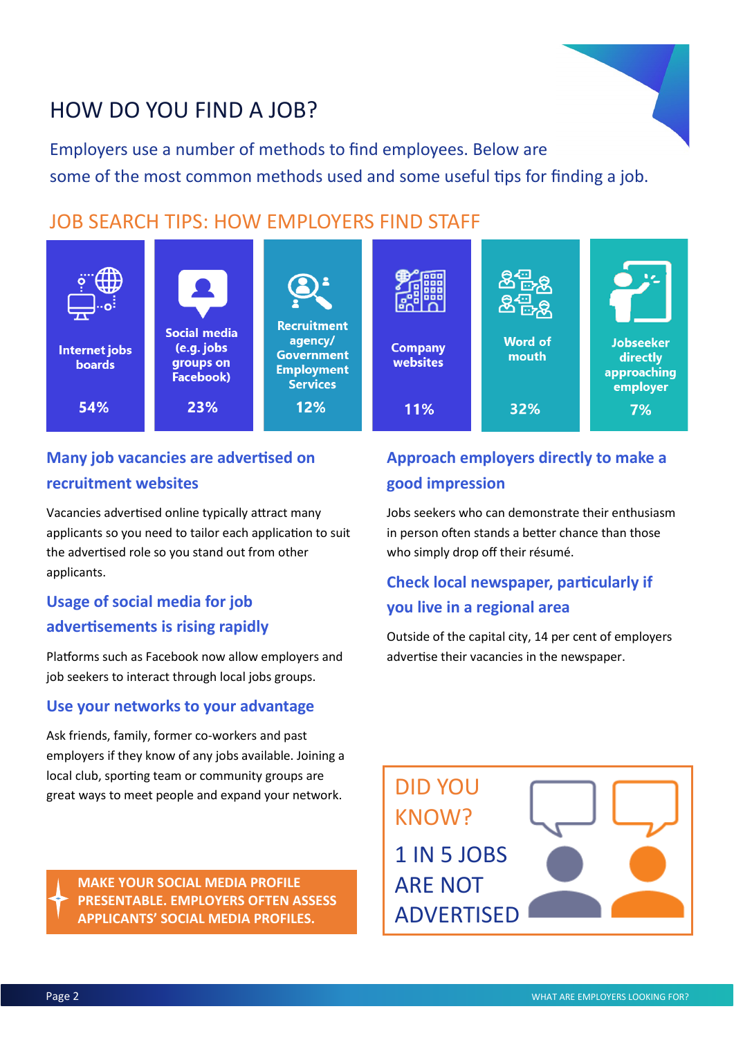## HOW DO YOU FIND A JOB?

Employers use a number of methods to find employees. Below are some of the most common methods used and some useful tips for finding a job.

#### JOB SEARCH TIPS: HOW EMPLOYERS FIND STAFF



#### **Many job vacancies are advertised on recruitment websites**

Vacancies advertised online typically attract many applicants so you need to tailor each application to suit the advertised role so you stand out from other applicants.

#### **Usage of social media for job advertisements is rising rapidly**

Platforms such as Facebook now allow employers and job seekers to interact through local jobs groups.

#### **Use your networks to your advantage**

Ask friends, family, former co-workers and past employers if they know of any jobs available. Joining a local club, sporting team or community groups are great ways to meet people and expand your network.

**MAKE YOUR SOCIAL MEDIA PROFILE PRESENTABLE. EMPLOYERS OFTEN ASSESS APPLICANTS' SOCIAL MEDIA PROFILES.**

#### **Approach employers directly to make a good impression**

Jobs seekers who can demonstrate their enthusiasm in person often stands a better chance than those who simply drop off their résumé.

#### **Check local newspaper, particularly if you live in a regional area**

Outside of the capital city, 14 per cent of employers advertise their vacancies in the newspaper.

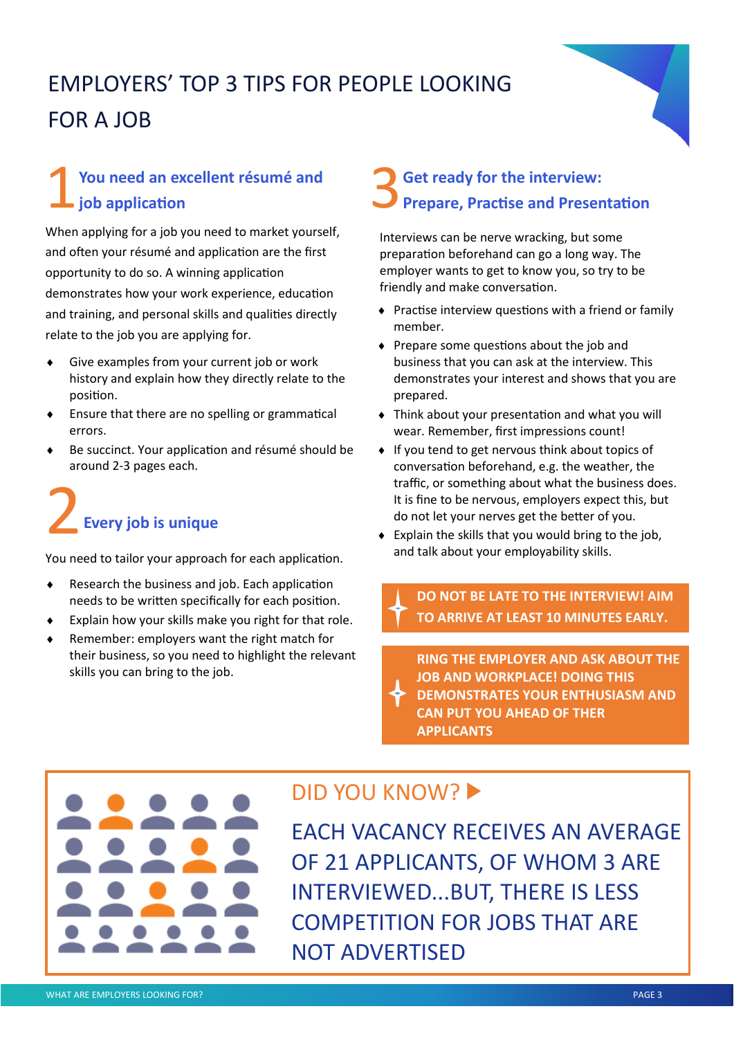# EMPLOYERS' TOP 3 TIPS FOR PEOPLE LOOKING FOR A JOB

#### 1 **You need an excellent résumé and job application**

When applying for a job you need to market yourself, and often your résumé and application are the first opportunity to do so. A winning application demonstrates how your work experience, education and training, and personal skills and qualities directly relate to the job you are applying for.

- Give examples from your current job or work history and explain how they directly relate to the position.
- Ensure that there are no spelling or grammatical errors.
- Be succinct. Your application and résumé should be around 2-3 pages each.

# 2**Every job is unique**

You need to tailor your approach for each application.

- Research the business and job. Each application needs to be written specifically for each position.
- Explain how your skills make you right for that role.
- Remember: employers want the right match for their business, so you need to highlight the relevant skills you can bring to the job.

#### 3 **Get ready for the interview: Prepare, Practise and Presentation**

Interviews can be nerve wracking, but some preparation beforehand can go a long way. The employer wants to get to know you, so try to be friendly and make conversation.

- Practise interview questions with a friend or family member.
- $\bullet$  Prepare some questions about the job and business that you can ask at the interview. This demonstrates your interest and shows that you are prepared.
- Think about your presentation and what you will wear. Remember, first impressions count!
- ◆ If you tend to get nervous think about topics of conversation beforehand, e.g. the weather, the traffic, or something about what the business does. It is fine to be nervous, employers expect this, but do not let your nerves get the better of you.
- Explain the skills that you would bring to the job, and talk about your employability skills.

**DO NOT BE LATE TO THE INTERVIEW! AIM TO ARRIVE AT LEAST 10 MINUTES EARLY.**

**RING THE EMPLOYER AND ASK ABOUT THE JOB AND WORKPLACE! DOING THIS DEMONSTRATES YOUR ENTHUSIASM AND CAN PUT YOU AHEAD OF THER APPLICANTS**



### DID YOU KNOW?

EACH VACANCY RECEIVES AN AVERAGE OF 21 APPLICANTS, OF WHOM 3 ARE INTERVIEWED...BUT, THERE IS LESS COMPETITION FOR JOBS THAT ARE NOT ADVERTISED